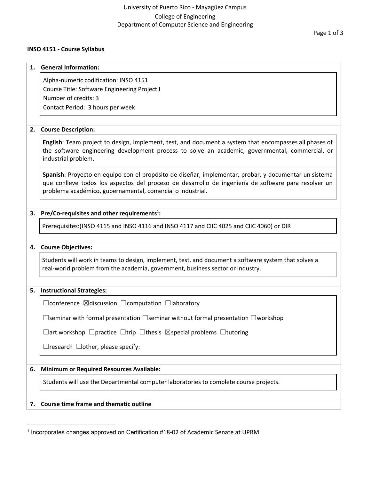### **INSO 4151 - Course Syllabus**

**1. General Information:**

## Page 1 of 3

|    | Alpha-numeric codification: INSO 4151                                                                                                                                                                                                                                       |  |  |
|----|-----------------------------------------------------------------------------------------------------------------------------------------------------------------------------------------------------------------------------------------------------------------------------|--|--|
|    | Course Title: Software Engineering Project I                                                                                                                                                                                                                                |  |  |
|    | Number of credits: 3                                                                                                                                                                                                                                                        |  |  |
|    | Contact Period: 3 hours per week                                                                                                                                                                                                                                            |  |  |
|    |                                                                                                                                                                                                                                                                             |  |  |
| 2. | <b>Course Description:</b>                                                                                                                                                                                                                                                  |  |  |
|    | English: Team project to design, implement, test, and document a system that encompasses all phases of<br>the software engineering development process to solve an academic, governmental, commercial, or<br>industrial problem.                                            |  |  |
|    | Spanish: Proyecto en equipo con el propósito de diseñar, implementar, probar, y documentar un sistema<br>que conlleve todos los aspectos del proceso de desarrollo de ingeniería de software para resolver un<br>problema académico, gubernamental, comercial o industrial. |  |  |
| 3. | Pre/Co-requisites and other requirements <sup>1</sup> :                                                                                                                                                                                                                     |  |  |
|    | Prerequisites: (INSO 4115 and INSO 4116 and INSO 4117 and CIIC 4025 and CIIC 4060) or DIR                                                                                                                                                                                   |  |  |
| 4. | <b>Course Objectives:</b>                                                                                                                                                                                                                                                   |  |  |
|    |                                                                                                                                                                                                                                                                             |  |  |
|    | Students will work in teams to design, implement, test, and document a software system that solves a<br>real-world problem from the academia, government, business sector or industry.                                                                                      |  |  |
|    |                                                                                                                                                                                                                                                                             |  |  |
| 5. | <b>Instructional Strategies:</b>                                                                                                                                                                                                                                            |  |  |
|    | $\Box$ conference $\boxtimes$ discussion $\Box$ computation $\Box$ laboratory                                                                                                                                                                                               |  |  |
|    | □ Seminar with formal presentation □ seminar without formal presentation □ workshop                                                                                                                                                                                         |  |  |
|    | $\Box$ art workshop $\Box$ practice $\Box$ trip $\Box$ thesis $\boxtimes$ special problems $\Box$ tutoring                                                                                                                                                                  |  |  |
|    | $\exists$ research $\Box$ other, please specify:                                                                                                                                                                                                                            |  |  |
|    |                                                                                                                                                                                                                                                                             |  |  |
| 6. | <b>Minimum or Required Resources Available:</b>                                                                                                                                                                                                                             |  |  |
|    | Students will use the Departmental computer laboratories to complete course projects.                                                                                                                                                                                       |  |  |

# **7. Course time frame and thematic outline**

<sup>&</sup>lt;sup>1</sup> Incorporates changes approved on Certification #18-02 of Academic Senate at UPRM.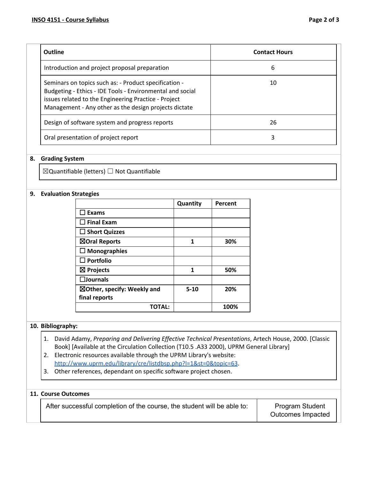| <b>Outline</b>                                                                                                                                                                                                                      | <b>Contact Hours</b> |
|-------------------------------------------------------------------------------------------------------------------------------------------------------------------------------------------------------------------------------------|----------------------|
| Introduction and project proposal preparation                                                                                                                                                                                       | 6                    |
| Seminars on topics such as: - Product specification -<br>Budgeting - Ethics - IDE Tools - Environmental and social<br>issues related to the Engineering Practice - Project<br>Management - Any other as the design projects dictate | 10                   |
| Design of software system and progress reports                                                                                                                                                                                      | 26                   |
| Oral presentation of project report                                                                                                                                                                                                 | 3                    |

#### **8. Grading System**

☒Quantifiable (letters) ☐ Not Quantifiable

#### **9. Evaluation Strategies**

|                                        | Quantity | Percent |
|----------------------------------------|----------|---------|
| <b>Exams</b>                           |          |         |
| $\Box$ Final Exam                      |          |         |
| $\Box$ Short Quizzes                   |          |         |
| ⊠Oral Reports                          | 1        | 30%     |
| $\Box$ Monographies                    |          |         |
| $\square$ Portfolio                    |          |         |
| $\boxtimes$ Projects                   | 1        | 50%     |
| $\square$ Journals                     |          |         |
| $\boxtimes$ Other, specify: Weekly and | $5 - 10$ | 20%     |
| final reports                          |          |         |
| TOTAL:                                 |          | 100%    |

#### **10. Bibliography:**

- 1. David Adamy, *Preparing and Delivering Effective Technical Presentations*, Artech House, 2000. [Classic Book] [Available at the Circulation Collection (T10.5 .A33 2000), UPRM General Library]
- 2. Electronic resources available through the UPRM Library's website: <http://www.uprm.edu/library/cre/listdbsp.php?l=1&st=0&topic=63>.
- 3. Other references, dependant on specific software project chosen.

### **11. Course Outcomes**

After successful completion of the course, the student will be able to:  $\vert$  Program Student

Outcomes Impacted